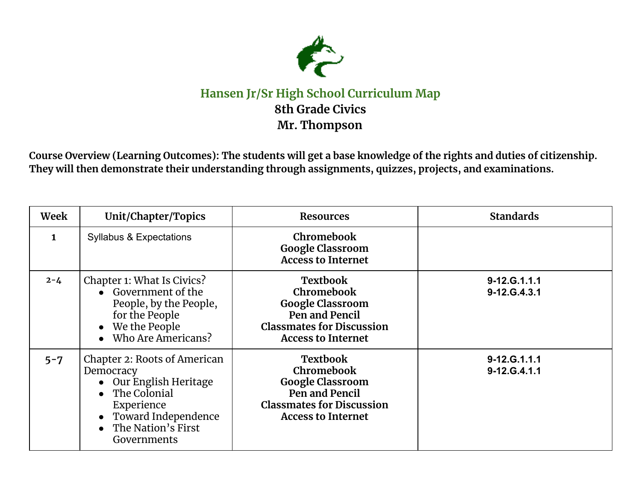

## **Hansen Jr/Sr High School Curriculum Map 8th Grade Civics Mr. Thompson**

Course Overview (Learning Outcomes): The students will get a base knowledge of the rights and duties of citizenship. **They will then demonstrate their understanding through assignments, quizzes, projects, and examinations.**

| Week    | Unit/Chapter/Topics                                                                                                                                                 | <b>Resources</b>                                                                                                                                   | <b>Standards</b>                  |
|---------|---------------------------------------------------------------------------------------------------------------------------------------------------------------------|----------------------------------------------------------------------------------------------------------------------------------------------------|-----------------------------------|
| 1       | <b>Syllabus &amp; Expectations</b>                                                                                                                                  | <b>Chromebook</b><br><b>Google Classroom</b><br><b>Access to Internet</b>                                                                          |                                   |
| $2 - 4$ | Chapter 1: What Is Civics?<br>• Government of the<br>People, by the People,<br>for the People<br>• We the People<br>• Who Are Americans?                            | <b>Textbook</b><br>Chromebook<br><b>Google Classroom</b><br>Pen and Pencil<br><b>Classmates for Discussion</b><br><b>Access to Internet</b>        | $9 - 12. G.1.1.1$<br>9-12.G.4.3.1 |
| $5 - 7$ | Chapter 2: Roots of American<br>Democracy<br>• Our English Heritage<br>• The Colonial<br>Experience<br>• Toward Independence<br>• The Nation's First<br>Governments | <b>Textbook</b><br><b>Chromebook</b><br><b>Google Classroom</b><br>Pen and Pencil<br><b>Classmates for Discussion</b><br><b>Access to Internet</b> | 9-12.G.1.1.1<br>9-12.G.4.1.1      |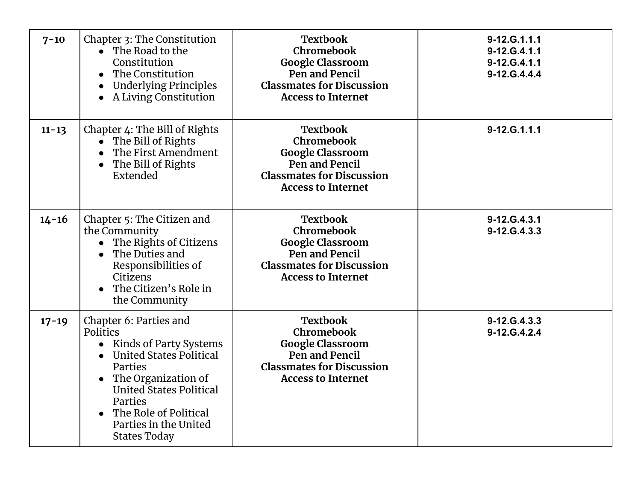| $7 - 10$  | Chapter 3: The Constitution<br>• The Road to the<br>Constitution<br>The Constitution<br><b>Underlying Principles</b><br>A Living Constitution                                                                                                                                    | <b>Textbook</b><br>Chromebook<br><b>Google Classroom</b><br>Pen and Pencil<br><b>Classmates for Discussion</b><br><b>Access to Internet</b> | 9-12.G.1.1.1<br>9-12.G.4.1.1<br>9-12.G.4.1.1<br>9-12.G.4.4.4 |
|-----------|----------------------------------------------------------------------------------------------------------------------------------------------------------------------------------------------------------------------------------------------------------------------------------|---------------------------------------------------------------------------------------------------------------------------------------------|--------------------------------------------------------------|
| $11 - 13$ | Chapter 4: The Bill of Rights<br>• The Bill of Rights<br>The First Amendment<br>The Bill of Rights<br>$\bullet$<br>Extended                                                                                                                                                      | <b>Textbook</b><br>Chromebook<br><b>Google Classroom</b><br>Pen and Pencil<br><b>Classmates for Discussion</b><br><b>Access to Internet</b> | 9-12.G.1.1.1                                                 |
| $14 - 16$ | Chapter 5: The Citizen and<br>the Community<br>The Rights of Citizens<br>The Duties and<br>$\bullet$<br>Responsibilities of<br>Citizens<br>The Citizen's Role in<br>$\bullet$<br>the Community                                                                                   | <b>Textbook</b><br>Chromebook<br><b>Google Classroom</b><br>Pen and Pencil<br><b>Classmates for Discussion</b><br><b>Access to Internet</b> | 9-12.G.4.3.1<br>9-12.G.4.3.3                                 |
| $17 - 19$ | Chapter 6: Parties and<br>Politics<br>Kinds of Party Systems<br>$\bullet$<br><b>United States Political</b><br>$\bullet$<br>Parties<br>The Organization of<br><b>United States Political</b><br>Parties<br>The Role of Political<br>Parties in the United<br><b>States Today</b> | <b>Textbook</b><br>Chromebook<br><b>Google Classroom</b><br>Pen and Pencil<br><b>Classmates for Discussion</b><br><b>Access to Internet</b> | 9-12.G.4.3.3<br>9-12.G.4.2.4                                 |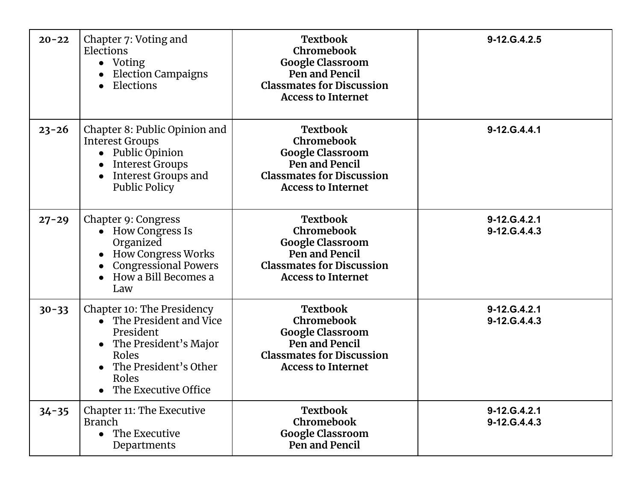| $20 - 22$ | Chapter 7: Voting and<br>Elections<br>• Voting<br><b>Election Campaigns</b><br>Elections<br>$\bullet$                                                                        | <b>Textbook</b><br>Chromebook<br><b>Google Classroom</b><br>Pen and Pencil<br><b>Classmates for Discussion</b><br><b>Access to Internet</b> | 9-12.G.4.2.5                 |
|-----------|------------------------------------------------------------------------------------------------------------------------------------------------------------------------------|---------------------------------------------------------------------------------------------------------------------------------------------|------------------------------|
| $23 - 26$ | Chapter 8: Public Opinion and<br><b>Interest Groups</b><br>• Public Opinion<br><b>Interest Groups</b><br><b>Interest Groups and</b><br><b>Public Policy</b>                  | <b>Textbook</b><br>Chromebook<br><b>Google Classroom</b><br>Pen and Pencil<br><b>Classmates for Discussion</b><br><b>Access to Internet</b> | 9-12.G.4.4.1                 |
| $27 - 29$ | Chapter 9: Congress<br>• How Congress Is<br>Organized<br><b>How Congress Works</b><br><b>Congressional Powers</b><br>How a Bill Becomes a<br>Law                             | <b>Textbook</b><br>Chromebook<br><b>Google Classroom</b><br>Pen and Pencil<br><b>Classmates for Discussion</b><br><b>Access to Internet</b> | 9-12.G.4.2.1<br>9-12.G.4.4.3 |
| $30 - 33$ | Chapter 10: The Presidency<br>• The President and Vice<br>President<br>The President's Major<br>$\bullet$<br>Roles<br>The President's Other<br>Roles<br>The Executive Office | <b>Textbook</b><br>Chromebook<br><b>Google Classroom</b><br>Pen and Pencil<br><b>Classmates for Discussion</b><br><b>Access to Internet</b> | 9-12.G.4.2.1<br>9-12.G.4.4.3 |
| $34 - 35$ | Chapter 11: The Executive<br><b>Branch</b><br>$\bullet$ The Executive<br>Departments                                                                                         | <b>Textbook</b><br>Chromebook<br><b>Google Classroom</b><br>Pen and Pencil                                                                  | 9-12.G.4.2.1<br>9-12.G.4.4.3 |